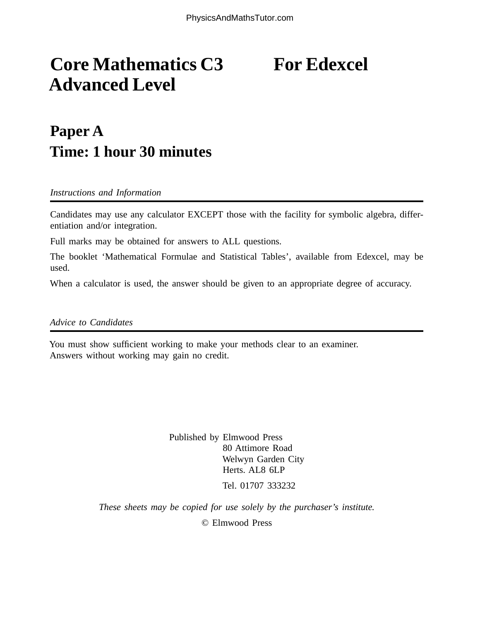## **Core Mathematics C3** For Edexcel **Advanced Level**

## **Paper A Time: 1 hour 30 minutes**

*Instructions and Information*

Candidates may use any calculator EXCEPT those with the facility for symbolic algebra, differentiation and/or integration.

Full marks may be obtained for answers to ALL questions.

The booklet 'Mathematical Formulae and Statistical Tables', available from Edexcel, may be used.

When a calculator is used, the answer should be given to an appropriate degree of accuracy.

*Advice to Candidates*

You must show sufficient working to make your methods clear to an examiner. Answers without working may gain no credit.

> Published by Elmwood Press 80 Attimore Road Welwyn Garden City Herts. AL8 6LP Tel. 01707 333232

*These sheets may be copied for use solely by the purchaser's institute.*

© Elmwood Press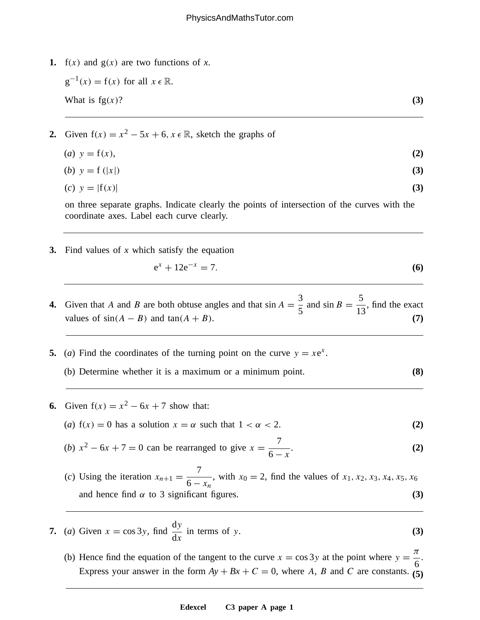**1.**  $f(x)$  and  $g(x)$  are two functions of x.

 $g^{-1}(x) = f(x)$  for all  $x \in \mathbb{R}$ . What is  $fg(x)$ ? **(3)** 

2. Given 
$$
f(x) = x^2 - 5x + 6
$$
,  $x \in \mathbb{R}$ , sketch the graphs of

| ( <i>a</i> ) $y = f(x)$ , | (2) |
|---------------------------|-----|
| ( <i>b</i> ) $y = f( x )$ | (3) |

$$
(c) \quad y = |f(x)| \tag{3}
$$

on three separate graphs. Indicate clearly the points of intersection of the curves with the coordinate axes. Label each curve clearly.

**3.** Find values of *x* which satisfy the equation

$$
e^x + 12e^{-x} = 7. \t\t(6)
$$

**4.** Given that A and B are both obtuse angles and that  $\sin A = \frac{3}{5}$  and  $\sin B = \frac{5}{13}$ , find the exact values of  $sin(A - B)$  and  $tan(A + B)$ . **(7)** 

- **5.** (*a*) Find the coordinates of the turning point on the curve  $y = xe^x$ .
	- (b) Determine whether it is a maximum or a minimum point. **(8)**
- **6.** Given  $f(x) = x^2 6x + 7$  show that:
	- (*a*)  $f(x) = 0$  has a solution  $x = \alpha$  such that  $1 < \alpha < 2$ . (2)
	- (*b*)  $x^2 6x + 7 = 0$  can be rearranged to give  $x = \frac{7}{6}$  $6 - x$  $\qquad \qquad (2)$
	- (*c*) Using the iteration  $x_{n+1} = \frac{7}{6}$  $6 - x_n$ , with  $x_0 = 2$ , find the values of  $x_1, x_2, x_3, x_4, x_5, x_6$ and hence find  $\alpha$  to 3 significant figures. **(3)**  $(3)$
- **7.** (*a*) Given  $x = \cos 3y$ , find dy  $dx$ in terms of  $y$ .  $(3)$ 
	- (b) Hence find the equation of the tangent to the curve  $x = \cos 3y$  at the point where  $y =$ 6 . Express your answer in the form  $Ay + Bx + C = 0$ , where A, B and C are constants. (5)